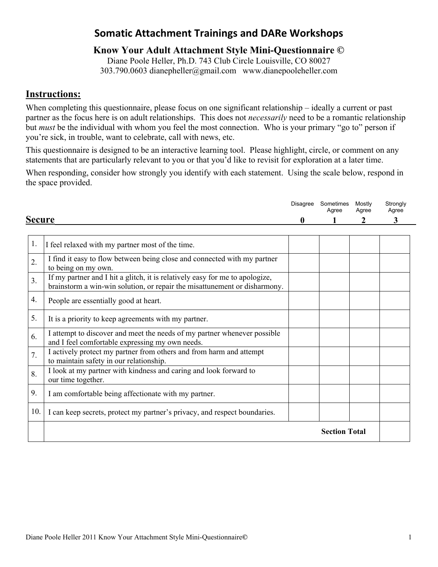## **Somatic Attachment Trainings and DARe Workshops**

## **Know Your Adult Attachment Style Mini-Questionnaire ©**

Diane Poole Heller, Ph.D. 743 Club Circle Louisville, CO 80027 303.790.0603 dianepheller@gmail.com www.dianepooleheller.com

## **Instructions:**

When completing this questionnaire, please focus on one significant relationship – ideally a current or past partner as the focus here is on adult relationships. This does not *necessarily* need to be a romantic relationship but *must* be the individual with whom you feel the most connection. Who is your primary "go to" person if you're sick, in trouble, want to celebrate, call with news, etc.

This questionnaire is designed to be an interactive learning tool. Please highlight, circle, or comment on any statements that are particularly relevant to you or that you'd like to revisit for exploration at a later time.

When responding, consider how strongly you identify with each statement. Using the scale below, respond in the space provided.

|                  |                                                                                                                                                           | Disagree | Sometimes<br>Agree   | Mostly<br>Agree | Strongly<br>Agree |
|------------------|-----------------------------------------------------------------------------------------------------------------------------------------------------------|----------|----------------------|-----------------|-------------------|
|                  | <b>Secure</b>                                                                                                                                             |          |                      | 2               | 3                 |
| 1.               | I feel relaxed with my partner most of the time.                                                                                                          |          |                      |                 |                   |
| 2.               | I find it easy to flow between being close and connected with my partner<br>to being on my own.                                                           |          |                      |                 |                   |
| $\overline{3}$ . | If my partner and I hit a glitch, it is relatively easy for me to apologize,<br>brainstorm a win-win solution, or repair the misattunement or disharmony. |          |                      |                 |                   |
| 4.               | People are essentially good at heart.                                                                                                                     |          |                      |                 |                   |
| 5.               | It is a priority to keep agreements with my partner.                                                                                                      |          |                      |                 |                   |
| 6.               | I attempt to discover and meet the needs of my partner whenever possible<br>and I feel comfortable expressing my own needs.                               |          |                      |                 |                   |
| 7.               | I actively protect my partner from others and from harm and attempt<br>to maintain safety in our relationship.                                            |          |                      |                 |                   |
| 8.               | I look at my partner with kindness and caring and look forward to<br>our time together.                                                                   |          |                      |                 |                   |
| 9.               | I am comfortable being affectionate with my partner.                                                                                                      |          |                      |                 |                   |
| 10.              | I can keep secrets, protect my partner's privacy, and respect boundaries.                                                                                 |          |                      |                 |                   |
|                  |                                                                                                                                                           |          | <b>Section Total</b> |                 |                   |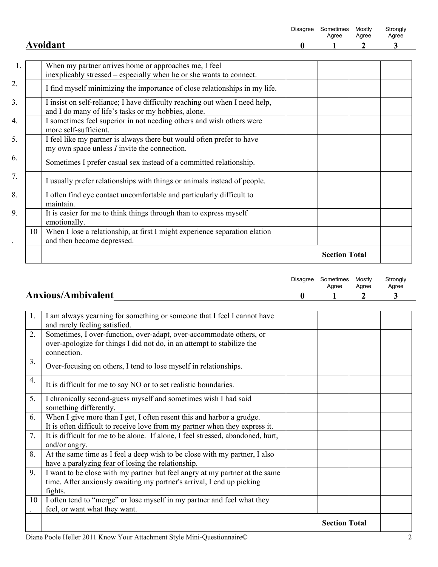|    |                                                                                                                                    | <b>Disagree</b> | Sometimes<br>Agree   | Mostly<br>Agree | Strongly<br>Agree |
|----|------------------------------------------------------------------------------------------------------------------------------------|-----------------|----------------------|-----------------|-------------------|
|    | Avoidant                                                                                                                           | $\bf{0}$        |                      | 2               | 3                 |
| 1. | When my partner arrives home or approaches me, I feel<br>inexplicably stressed – especially when he or she wants to connect.       |                 |                      |                 |                   |
|    | I find myself minimizing the importance of close relationships in my life.                                                         |                 |                      |                 |                   |
|    | I insist on self-reliance; I have difficulty reaching out when I need help,<br>and I do many of life's tasks or my hobbies, alone. |                 |                      |                 |                   |
|    | I sometimes feel superior in not needing others and wish others were<br>more self-sufficient.                                      |                 |                      |                 |                   |
|    | I feel like my partner is always there but would often prefer to have<br>my own space unless $I$ invite the connection.            |                 |                      |                 |                   |
|    | Sometimes I prefer casual sex instead of a committed relationship.                                                                 |                 |                      |                 |                   |
|    | I usually prefer relationships with things or animals instead of people.                                                           |                 |                      |                 |                   |
|    | I often find eye contact uncomfortable and particularly difficult to<br>maintain.                                                  |                 |                      |                 |                   |
|    | It is easier for me to think things through than to express myself<br>emotionally.                                                 |                 |                      |                 |                   |
| 10 | When I lose a relationship, at first I might experience separation elation<br>and then become depressed.                           |                 |                      |                 |                   |
|    |                                                                                                                                    |                 | <b>Section Total</b> |                 |                   |

|  | Disagree Sometimes Mostly<br>Agree | Agree | Strongly<br>Agree |
|--|------------------------------------|-------|-------------------|
|  |                                    |       |                   |

|                |                                                                                                                                                              | <b>Section Total</b> |  |
|----------------|--------------------------------------------------------------------------------------------------------------------------------------------------------------|----------------------|--|
| 10             | I often tend to "merge" or lose myself in my partner and feel what they<br>feel, or want what they want.                                                     |                      |  |
|                | time. After anxiously awaiting my partner's arrival, I end up picking<br>fights.                                                                             |                      |  |
| 9.             | I want to be close with my partner but feel angry at my partner at the same                                                                                  |                      |  |
| 8.             | At the same time as I feel a deep wish to be close with my partner, I also<br>have a paralyzing fear of losing the relationship.                             |                      |  |
| 7.             | It is difficult for me to be alone. If alone, I feel stressed, abandoned, hurt,<br>and/or angry.                                                             |                      |  |
| 6.             | When I give more than I get, I often resent this and harbor a grudge.<br>It is often difficult to receive love from my partner when they express it.         |                      |  |
| 5.             | I chronically second-guess myself and sometimes wish I had said<br>something differently.                                                                    |                      |  |
| 4.             | It is difficult for me to say NO or to set realistic boundaries.                                                                                             |                      |  |
| 3 <sub>1</sub> | Over-focusing on others, I tend to lose myself in relationships.                                                                                             |                      |  |
| 2.             | Sometimes, I over-function, over-adapt, over-accommodate others, or<br>over-apologize for things I did not do, in an attempt to stabilize the<br>connection. |                      |  |
| 1.             | I am always yearning for something or someone that I feel I cannot have<br>and rarely feeling satisfied.                                                     |                      |  |